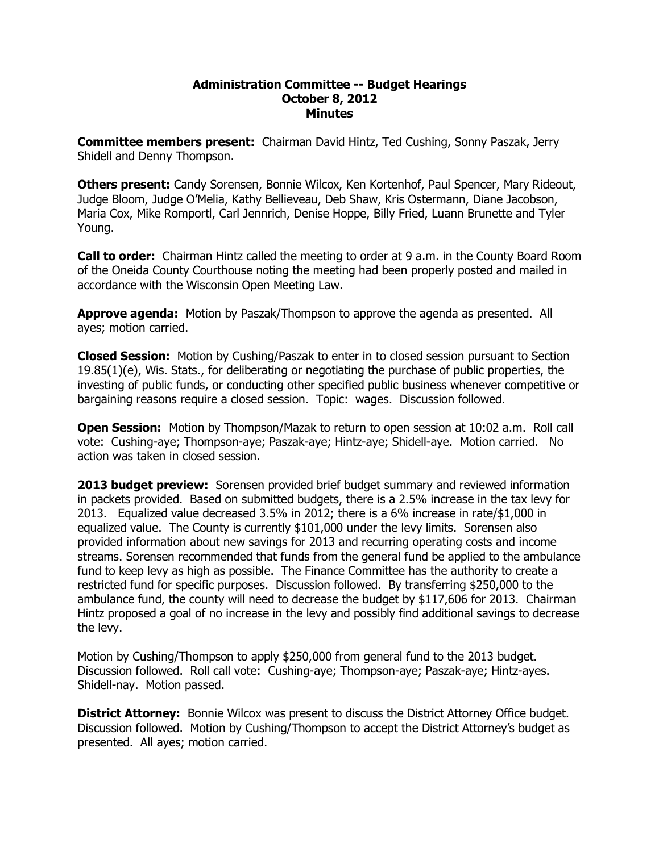## **Administration Committee Budget Hearings October 8, 2012 Minutes**

**Committee members present:**  Chairman David Hintz, Ted Cushing, Sonny Paszak, Jerry Shidell and Denny Thompson.

**Others present:** Candy Sorensen, Bonnie Wilcox, Ken Kortenhof, Paul Spencer, Mary Rideout, Judge Bloom, Judge O'Melia, Kathy Bellieveau, Deb Shaw, Kris Ostermann, Diane Jacobson, Maria Cox, Mike Romportl, Carl Jennrich, Denise Hoppe, Billy Fried, Luann Brunette and Tyler Young.

**Call to order:**  Chairman Hintz called the meeting to order at 9 a.m. in the County Board Room of the Oneida County Courthouse noting the meeting had been properly posted and mailed in accordance with the Wisconsin Open Meeting Law.

**Approve agenda:** Motion by Paszak/Thompson to approve the agenda as presented. All ayes; motion carried.

**Closed Session:** Motion by Cushing/Paszak to enter in to closed session pursuant to Section  $19.85(1)(e)$ , Wis. Stats., for deliberating or negotiating the purchase of public properties, the investing of public funds, or conducting other specified public business whenever competitive or bargaining reasons require a closed session. Topic: wages. Discussion followed.

**Open Session:** Motion by Thompson/Mazak to return to open session at 10:02 a.m. Roll call vote: Cushing-aye; Thompson-aye; Paszak-aye; Hintz-aye; Shidell-aye. Motion carried. No action was taken in closed session.

**2013 budget preview:**  Sorensen provided brief budget summary and reviewed information in packets provided. Based on submitted budgets, there is a 2.5% increase in the tax levy for 2013. Equalized value decreased 3.5% in 2012; there is a 6% increase in rate/\$1,000 in equalized value. The County is currently \$101,000 under the levy limits. Sorensen also provided information about new savings for 2013 and recurring operating costs and income streams. Sorensen recommended that funds from the general fund be applied to the ambulance fund to keep levy as high as possible. The Finance Committee has the authority to create a restricted fund for specific purposes. Discussion followed. By transferring \$250,000 to the ambulance fund, the county will need to decrease the budget by \$117,606 for 2013. Chairman Hintz proposed a goal of no increase in the levy and possibly find additional savings to decrease the levy.

Motion by Cushing/Thompson to apply \$250,000 from general fund to the 2013 budget. Discussion followed. Roll call vote: Cushing-aye; Thompson-aye; Paszak-aye; Hintz-ayes. Shidell-nay. Motion passed.

**District Attorney:** Bonnie Wilcox was present to discuss the District Attorney Office budget. Discussion followed. Motion by Cushing/Thompson to accept the District Attorney's budget as presented. All ayes; motion carried.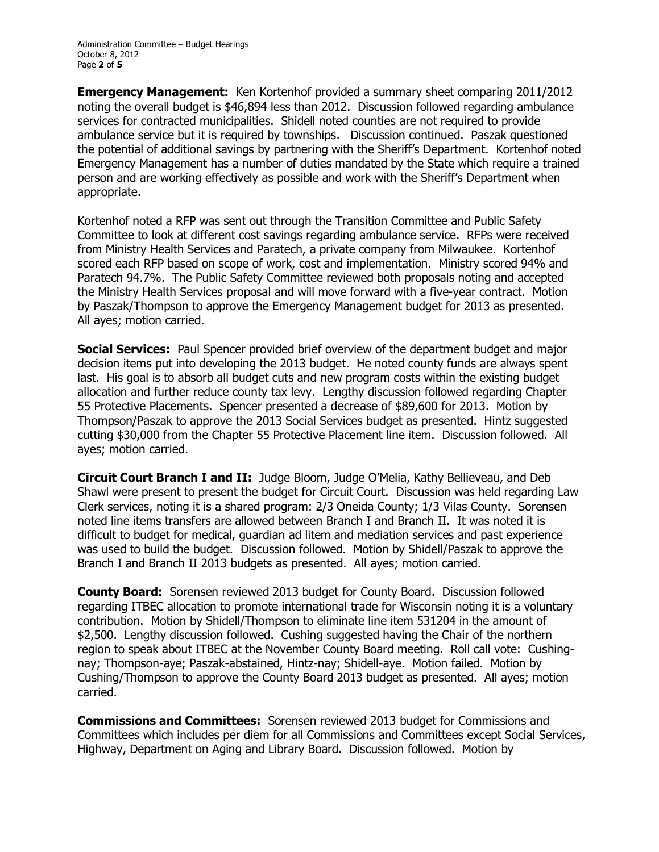Administration Committee – Budget Hearings October 8, 2012 Page **2** of **5** 

**Emergency Management:**  Ken Kortenhof provided a summary sheet comparing 2011/2012 noting the overall budget is \$46,894 less than 2012. Discussion followed regarding ambulance services for contracted municipalities. Shidell noted counties are not required to provide ambulance service but it is required by townships. Discussion continued. Paszak questioned the potential of additional savings by partnering with the Sheriff's Department. Kortenhof noted Emergency Management has a number of duties mandated by the State which require a trained person and are working effectively as possible and work with the Sheriff's Department when appropriate.

Kortenhof noted a RFP was sent out through the Transition Committee and Public Safety Committee to look at different cost savings regarding ambulance service. RFPs were received from Ministry Health Services and Paratech, a private company from Milwaukee. Kortenhof scored each RFP based on scope of work, cost and implementation. Ministry scored 94% and Paratech 94.7%. The Public Safety Committee reviewed both proposals noting and accepted the Ministry Health Services proposal and will move forward with a five-year contract. Motion by Paszak/Thompson to approve the Emergency Management budget for 2013 as presented. All ayes; motion carried.

**Social Services:** Paul Spencer provided brief overview of the department budget and major decision items put into developing the 2013 budget. He noted county funds are always spent last. His goal is to absorb all budget cuts and new program costs within the existing budget allocation and further reduce county tax levy. Lengthy discussion followed regarding Chapter 55 Protective Placements. Spencer presented a decrease of \$89,600 for 2013. Motion by Thompson/Paszak to approve the 2013 Social Services budget as presented. Hintz suggested cutting \$30,000 from the Chapter 55 Protective Placement line item. Discussion followed. All ayes; motion carried.

**Circuit Court Branch I and II:**  Judge Bloom, Judge O'Melia, Kathy Bellieveau, and Deb Shawl were present to present the budget for Circuit Court. Discussion was held regarding Law Clerk services, noting it is a shared program: 2/3 Oneida County; 1/3 Vilas County. Sorensen noted line items transfers are allowed between Branch I and Branch II. It was noted it is difficult to budget for medical, guardian ad litem and mediation services and past experience was used to build the budget. Discussion followed. Motion by Shidell/Paszak to approve the Branch I and Branch II 2013 budgets as presented. All ayes; motion carried.

**County Board:** Sorensen reviewed 2013 budget for County Board. Discussion followed regarding ITBEC allocation to promote international trade for Wisconsin noting it is a voluntary contribution. Motion by Shidell/Thompson to eliminate line item 531204 in the amount of \$2,500. Lengthy discussion followed. Cushing suggested having the Chair of the northern region to speak about ITBEC at the November County Board meeting. Roll call vote: Cushing nay; Thompson-aye; Paszak-abstained, Hintz-nay; Shidell-aye. Motion failed. Motion by Cushing/Thompson to approve the County Board 2013 budget as presented. All ayes; motion carried.

**Commissions and Committees:** Sorensen reviewed 2013 budget for Commissions and Committees which includes per diem for all Commissions and Committees except Social Services, Highway, Department on Aging and Library Board. Discussion followed. Motion by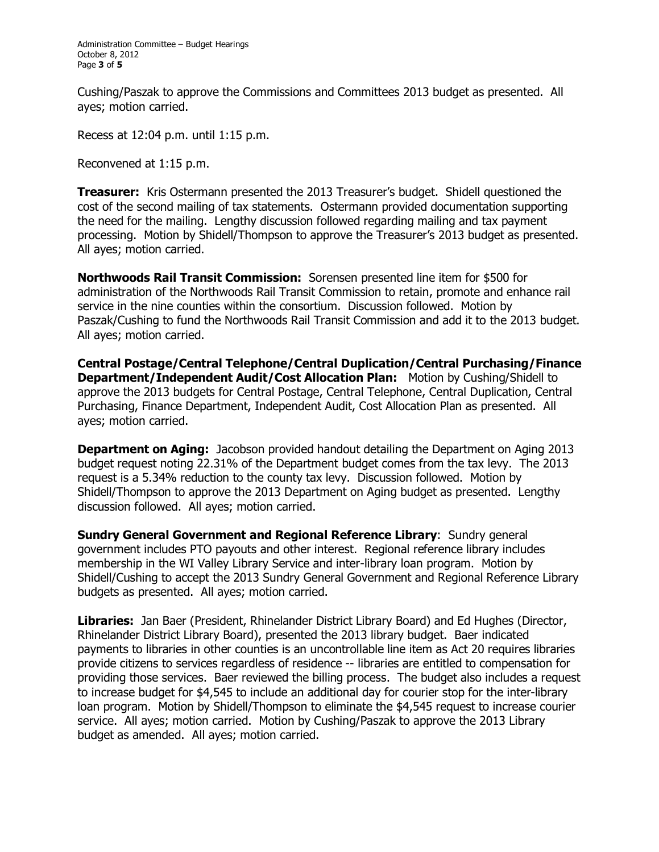Cushing/Paszak to approve the Commissions and Committees 2013 budget as presented. All ayes; motion carried.

Recess at 12:04 p.m. until 1:15 p.m.

Reconvened at 1:15 p.m.

**Treasurer:** Kris Ostermann presented the 2013 Treasurer's budget. Shidell questioned the cost of the second mailing of tax statements. Ostermann provided documentation supporting the need for the mailing. Lengthy discussion followed regarding mailing and tax payment processing. Motion by Shidell/Thompson to approve the Treasurer's 2013 budget as presented. All ayes; motion carried.

**Northwoods Rail Transit Commission:** Sorensen presented line item for \$500 for administration of the Northwoods Rail Transit Commission to retain, promote and enhance rail service in the nine counties within the consortium. Discussion followed. Motion by Paszak/Cushing to fund the Northwoods Rail Transit Commission and add it to the 2013 budget. All ayes; motion carried.

**Central Postage/Central Telephone/Central Duplication/Central Purchasing/Finance Department/Independent Audit/Cost Allocation Plan:** Motion by Cushing/Shidell to approve the 2013 budgets for Central Postage, Central Telephone, Central Duplication, Central Purchasing, Finance Department, Independent Audit, Cost Allocation Plan as presented. All ayes; motion carried.

**Department on Aging:** Jacobson provided handout detailing the Department on Aging 2013 budget request noting 22.31% of the Department budget comes from the tax levy. The 2013 request is a 5.34% reduction to the county tax levy. Discussion followed. Motion by Shidell/Thompson to approve the 2013 Department on Aging budget as presented. Lengthy discussion followed. All ayes; motion carried.

**Sundry General Government and Regional Reference Library**: Sundry general government includes PTO payouts and other interest. Regional reference library includes membership in the WI Valley Library Service and inter-library loan program. Motion by Shidell/Cushing to accept the 2013 Sundry General Government and Regional Reference Library budgets as presented. All ayes; motion carried.

**Libraries:** Jan Baer (President, Rhinelander District Library Board) and Ed Hughes (Director, Rhinelander District Library Board), presented the 2013 library budget. Baer indicated payments to libraries in other counties is an uncontrollable line item as Act 20 requires libraries provide citizens to services regardless of residence libraries are entitled to compensation for providing those services. Baer reviewed the billing process. The budget also includes a request to increase budget for \$4,545 to include an additional day for courier stop for the inter-library loan program. Motion by Shidell/Thompson to eliminate the \$4,545 request to increase courier service. All ayes; motion carried. Motion by Cushing/Paszak to approve the 2013 Library budget as amended. All ayes; motion carried.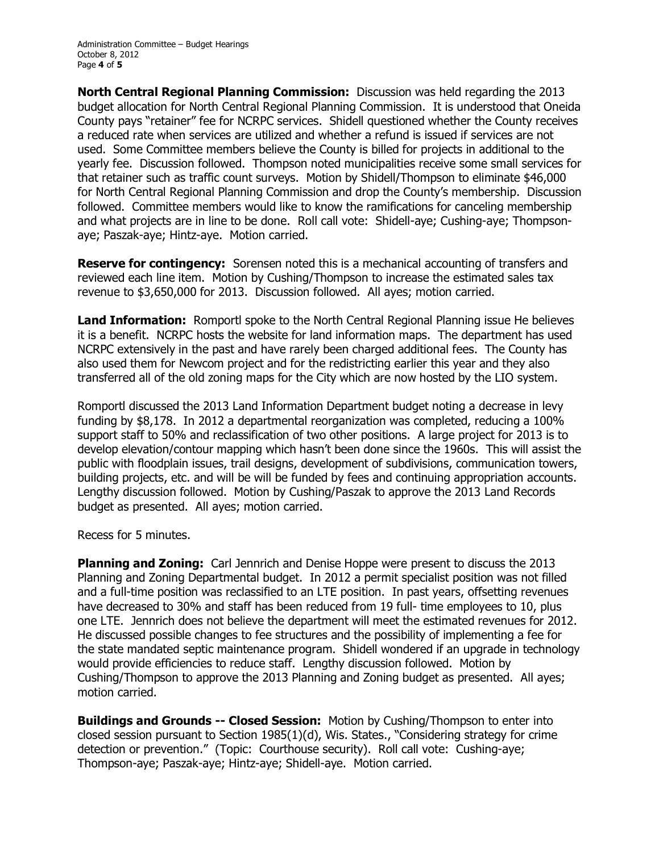**North Central Regional Planning Commission:** Discussion was held regarding the 2013 budget allocation for North Central Regional Planning Commission. It is understood that Oneida County pays "retainer" fee for NCRPC services. Shidell questioned whether the County receives a reduced rate when services are utilized and whether a refund is issued if services are not used. Some Committee members believe the County is billed for projects in additional to the yearly fee. Discussion followed. Thompson noted municipalities receive some small services for that retainer such as traffic count surveys. Motion by Shidell/Thompson to eliminate \$46,000 for North Central Regional Planning Commission and drop the County's membership. Discussion followed. Committee members would like to know the ramifications for canceling membership and what projects are in line to be done. Roll call vote: Shidell-ave: Cushing-ave: Thompsonaye; Paszak-aye; Hintz-aye. Motion carried.

**Reserve for contingency:** Sorensen noted this is a mechanical accounting of transfers and reviewed each line item. Motion by Cushing/Thompson to increase the estimated sales tax revenue to \$3,650,000 for 2013. Discussion followed. All ayes; motion carried.

**Land Information:** Romportl spoke to the North Central Regional Planning issue He believes it is a benefit. NCRPC hosts the website for land information maps. The department has used NCRPC extensively in the past and have rarely been charged additional fees. The County has also used them for Newcom project and for the redistricting earlier this year and they also transferred all of the old zoning maps for the City which are now hosted by the LIO system.

Romportl discussed the 2013 Land Information Department budget noting a decrease in levy funding by \$8,178. In 2012 a departmental reorganization was completed, reducing a 100% support staff to 50% and reclassification of two other positions. A large project for 2013 is to develop elevation/contour mapping which hasn't been done since the 1960s. This will assist the public with floodplain issues, trail designs, development of subdivisions, communication towers, building projects, etc. and will be will be funded by fees and continuing appropriation accounts. Lengthy discussion followed. Motion by Cushing/Paszak to approve the 2013 Land Records budget as presented. All ayes; motion carried.

Recess for 5 minutes.

**Planning and Zoning:** Carl Jennrich and Denise Hoppe were present to discuss the 2013 Planning and Zoning Departmental budget. In 2012 a permit specialist position was not filled and a full-time position was reclassified to an LTE position. In past years, offsetting revenues have decreased to 30% and staff has been reduced from 19 full- time employees to 10, plus one LTE. Jennrich does not believe the department will meet the estimated revenues for 2012. He discussed possible changes to fee structures and the possibility of implementing a fee for the state mandated septic maintenance program. Shidell wondered if an upgrade in technology would provide efficiencies to reduce staff. Lengthy discussion followed. Motion by Cushing/Thompson to approve the 2013 Planning and Zoning budget as presented. All ayes; motion carried.

**Buildings and Grounds Closed Session:** Motion by Cushing/Thompson to enter into closed session pursuant to Section 1985(1)(d), Wis. States., "Considering strategy for crime detection or prevention." (Topic: Courthouse security). Roll call vote: Cushing-aye; Thompson-aye; Paszak-aye; Hintz-aye; Shidell-aye. Motion carried.